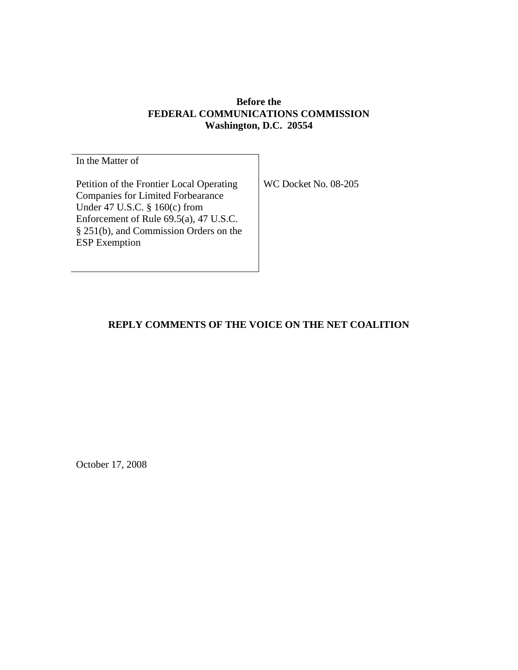## **Before the FEDERAL COMMUNICATIONS COMMISSION Washington, D.C. 20554**

In the Matter of Petition of the Frontier Local Operating Companies for Limited Forbearance Under 47 U.S.C. § 160(c) from Enforcement of Rule 69.5(a), 47 U.S.C. § 251(b), and Commission Orders on the ESP Exemption

WC Docket No. 08-205

# **REPLY COMMENTS OF THE VOICE ON THE NET COALITION**

October 17, 2008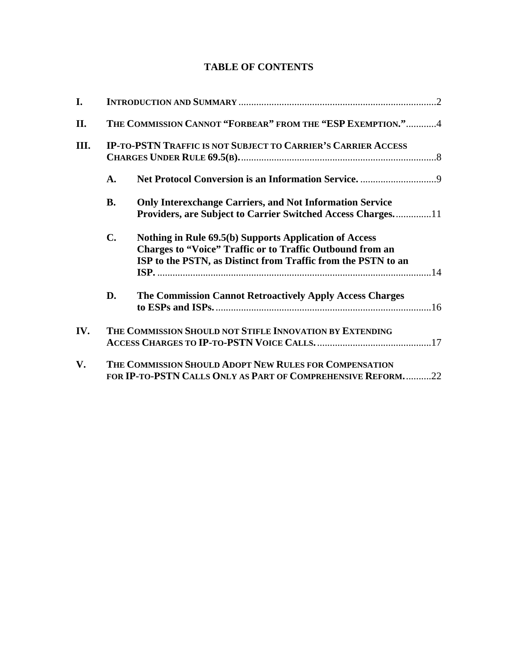# **TABLE OF CONTENTS**

| I.   |                                                                                                                       |                                                                                                                                                                                             |  |
|------|-----------------------------------------------------------------------------------------------------------------------|---------------------------------------------------------------------------------------------------------------------------------------------------------------------------------------------|--|
| II.  | THE COMMISSION CANNOT "FORBEAR" FROM THE "ESP EXEMPTION."4                                                            |                                                                                                                                                                                             |  |
| III. | <b>IP-TO-PSTN TRAFFIC IS NOT SUBJECT TO CARRIER'S CARRIER ACCESS</b>                                                  |                                                                                                                                                                                             |  |
|      | $\mathbf{A}$ .                                                                                                        |                                                                                                                                                                                             |  |
|      | <b>B.</b>                                                                                                             | <b>Only Interexchange Carriers, and Not Information Service</b><br><b>Providers, are Subject to Carrier Switched Access Charges11</b>                                                       |  |
|      | $\mathbf{C}$ .                                                                                                        | Nothing in Rule 69.5(b) Supports Application of Access<br><b>Charges to "Voice" Traffic or to Traffic Outbound from an</b><br>ISP to the PSTN, as Distinct from Traffic from the PSTN to an |  |
|      | D.                                                                                                                    | The Commission Cannot Retroactively Apply Access Charges                                                                                                                                    |  |
| IV.  | THE COMMISSION SHOULD NOT STIFLE INNOVATION BY EXTENDING                                                              |                                                                                                                                                                                             |  |
| V.   | THE COMMISSION SHOULD ADOPT NEW RULES FOR COMPENSATION<br>FOR IP-TO-PSTN CALLS ONLY AS PART OF COMPREHENSIVE REFORM22 |                                                                                                                                                                                             |  |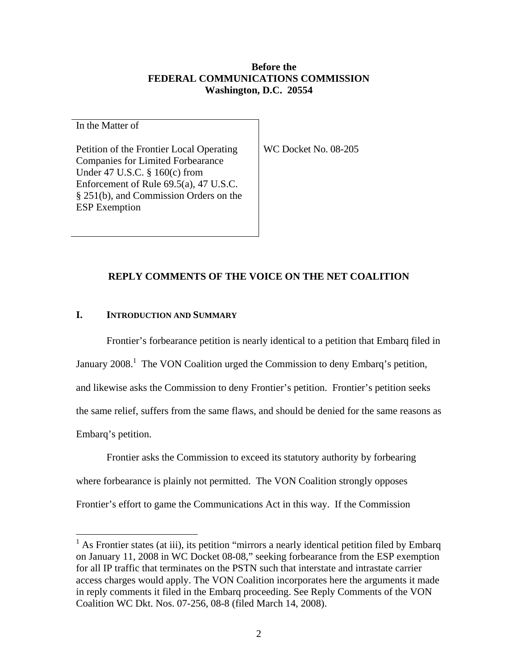## **Before the FEDERAL COMMUNICATIONS COMMISSION Washington, D.C. 20554**

In the Matter of

Petition of the Frontier Local Operating Companies for Limited Forbearance Under 47 U.S.C. § 160(c) from Enforcement of Rule 69.5(a), 47 U.S.C. § 251(b), and Commission Orders on the ESP Exemption

WC Docket No. 08-205

## **REPLY COMMENTS OF THE VOICE ON THE NET COALITION**

#### **I. INTRODUCTION AND SUMMARY**

Frontier's forbearance petition is nearly identical to a petition that Embarq filed in January 2008.<sup>1</sup> The VON Coalition urged the Commission to deny Embarq's petition, and likewise asks the Commission to deny Frontier's petition. Frontier's petition seeks the same relief, suffers from the same flaws, and should be denied for the same reasons as Embarq's petition.

Frontier asks the Commission to exceed its statutory authority by forbearing where forbearance is plainly not permitted. The VON Coalition strongly opposes Frontier's effort to game the Communications Act in this way. If the Commission

<sup>&</sup>lt;sup>1</sup> As Frontier states (at iii), its petition "mirrors a nearly identical petition filed by Embarq on January 11, 2008 in WC Docket 08-08," seeking forbearance from the ESP exemption for all IP traffic that terminates on the PSTN such that interstate and intrastate carrier access charges would apply. The VON Coalition incorporates here the arguments it made in reply comments it filed in the Embarq proceeding. See Reply Comments of the VON Coalition WC Dkt. Nos. 07-256, 08-8 (filed March 14, 2008).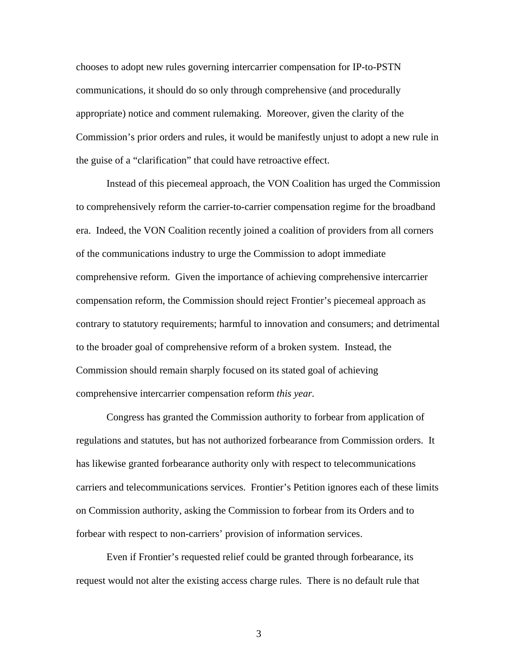chooses to adopt new rules governing intercarrier compensation for IP-to-PSTN communications, it should do so only through comprehensive (and procedurally appropriate) notice and comment rulemaking. Moreover, given the clarity of the Commission's prior orders and rules, it would be manifestly unjust to adopt a new rule in the guise of a "clarification" that could have retroactive effect.

Instead of this piecemeal approach, the VON Coalition has urged the Commission to comprehensively reform the carrier-to-carrier compensation regime for the broadband era. Indeed, the VON Coalition recently joined a coalition of providers from all corners of the communications industry to urge the Commission to adopt immediate comprehensive reform. Given the importance of achieving comprehensive intercarrier compensation reform, the Commission should reject Frontier's piecemeal approach as contrary to statutory requirements; harmful to innovation and consumers; and detrimental to the broader goal of comprehensive reform of a broken system. Instead, the Commission should remain sharply focused on its stated goal of achieving comprehensive intercarrier compensation reform *this year.*

Congress has granted the Commission authority to forbear from application of regulations and statutes, but has not authorized forbearance from Commission orders. It has likewise granted forbearance authority only with respect to telecommunications carriers and telecommunications services. Frontier's Petition ignores each of these limits on Commission authority, asking the Commission to forbear from its Orders and to forbear with respect to non-carriers' provision of information services.

Even if Frontier's requested relief could be granted through forbearance, its request would not alter the existing access charge rules. There is no default rule that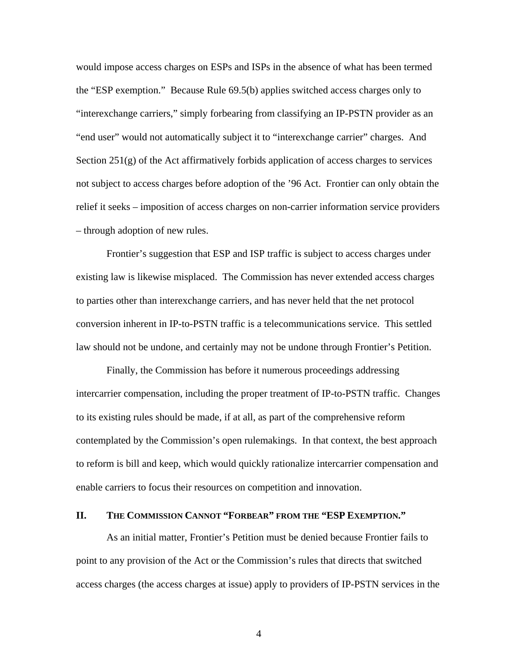would impose access charges on ESPs and ISPs in the absence of what has been termed the "ESP exemption." Because Rule 69.5(b) applies switched access charges only to "interexchange carriers," simply forbearing from classifying an IP-PSTN provider as an "end user" would not automatically subject it to "interexchange carrier" charges. And Section  $251(g)$  of the Act affirmatively forbids application of access charges to services not subject to access charges before adoption of the '96 Act. Frontier can only obtain the relief it seeks – imposition of access charges on non-carrier information service providers – through adoption of new rules.

Frontier's suggestion that ESP and ISP traffic is subject to access charges under existing law is likewise misplaced. The Commission has never extended access charges to parties other than interexchange carriers, and has never held that the net protocol conversion inherent in IP-to-PSTN traffic is a telecommunications service. This settled law should not be undone, and certainly may not be undone through Frontier's Petition.

Finally, the Commission has before it numerous proceedings addressing intercarrier compensation, including the proper treatment of IP-to-PSTN traffic. Changes to its existing rules should be made, if at all, as part of the comprehensive reform contemplated by the Commission's open rulemakings. In that context, the best approach to reform is bill and keep, which would quickly rationalize intercarrier compensation and enable carriers to focus their resources on competition and innovation.

#### **II. THE COMMISSION CANNOT "FORBEAR" FROM THE "ESP EXEMPTION."**

As an initial matter, Frontier's Petition must be denied because Frontier fails to point to any provision of the Act or the Commission's rules that directs that switched access charges (the access charges at issue) apply to providers of IP-PSTN services in the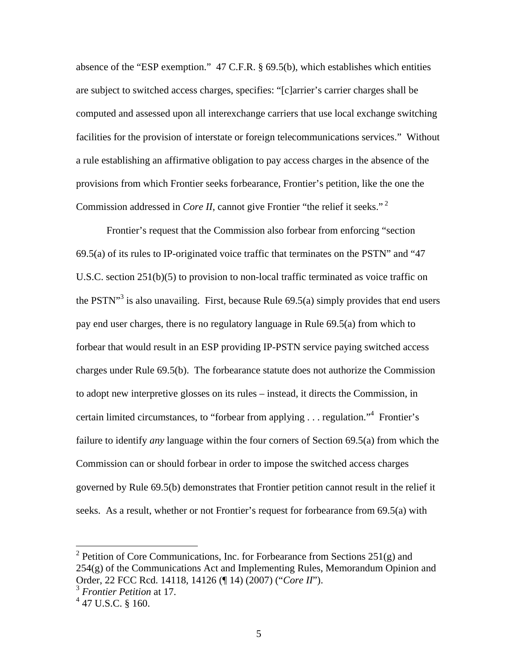absence of the "ESP exemption." 47 C.F.R. § 69.5(b), which establishes which entities are subject to switched access charges, specifies: "[c]arrier's carrier charges shall be computed and assessed upon all interexchange carriers that use local exchange switching facilities for the provision of interstate or foreign telecommunications services." Without a rule establishing an affirmative obligation to pay access charges in the absence of the provisions from which Frontier seeks forbearance, Frontier's petition, like the one the Commission addressed in *Core II*, cannot give Frontier "the relief it seeks."<sup>2</sup>

Frontier's request that the Commission also forbear from enforcing "section 69.5(a) of its rules to IP-originated voice traffic that terminates on the PSTN" and "47 U.S.C. section 251(b)(5) to provision to non-local traffic terminated as voice traffic on the PSTN $^{\prime\prime}$ <sup>3</sup> is also unavailing. First, because Rule 69.5(a) simply provides that end users pay end user charges, there is no regulatory language in Rule 69.5(a) from which to forbear that would result in an ESP providing IP-PSTN service paying switched access charges under Rule 69.5(b). The forbearance statute does not authorize the Commission to adopt new interpretive glosses on its rules – instead, it directs the Commission, in certain limited circumstances, to "forbear from applying . . . regulation."4 Frontier's failure to identify *any* language within the four corners of Section 69.5(a) from which the Commission can or should forbear in order to impose the switched access charges governed by Rule 69.5(b) demonstrates that Frontier petition cannot result in the relief it seeks. As a result, whether or not Frontier's request for forbearance from 69.5(a) with

<sup>&</sup>lt;sup>2</sup> Petition of Core Communications, Inc. for Forbearance from Sections 251(g) and  $254(g)$  of the Communications Act and Implementing Rules, Memorandum Opinion and Order, 22 FCC Rcd. 14118, 14126 (¶ 14) (2007) ("*Core II*").

<sup>3</sup> *Frontier Petition* at 17.

 $4$  47 U.S.C. § 160.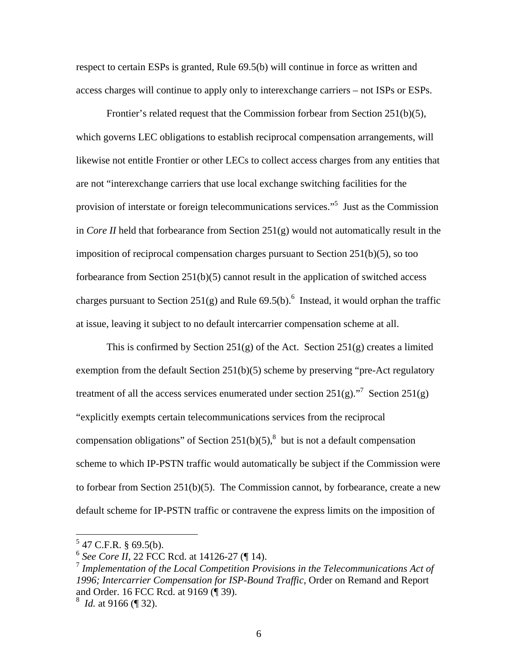respect to certain ESPs is granted, Rule 69.5(b) will continue in force as written and access charges will continue to apply only to interexchange carriers – not ISPs or ESPs.

Frontier's related request that the Commission forbear from Section 251(b)(5), which governs LEC obligations to establish reciprocal compensation arrangements, will likewise not entitle Frontier or other LECs to collect access charges from any entities that are not "interexchange carriers that use local exchange switching facilities for the provision of interstate or foreign telecommunications services."<sup>5</sup> Just as the Commission in *Core II* held that forbearance from Section 251(g) would not automatically result in the imposition of reciprocal compensation charges pursuant to Section 251(b)(5), so too forbearance from Section 251(b)(5) cannot result in the application of switched access charges pursuant to Section 251(g) and Rule  $69.5(b)$ .<sup>6</sup> Instead, it would orphan the traffic at issue, leaving it subject to no default intercarrier compensation scheme at all.

This is confirmed by Section  $251(g)$  of the Act. Section  $251(g)$  creates a limited exemption from the default Section 251(b)(5) scheme by preserving "pre-Act regulatory treatment of all the access services enumerated under section  $251(g)$ ."<sup>7</sup> Section  $251(g)$ "explicitly exempts certain telecommunications services from the reciprocal compensation obligations" of Section 251(b)(5),<sup>8</sup> but is not a default compensation scheme to which IP-PSTN traffic would automatically be subject if the Commission were to forbear from Section 251(b)(5). The Commission cannot, by forbearance, create a new default scheme for IP-PSTN traffic or contravene the express limits on the imposition of

 $5$  47 C.F.R. § 69.5(b).

<sup>6</sup> *See Core II*, 22 FCC Rcd. at 14126-27 (¶ 14).

<sup>7</sup> *Implementation of the Local Competition Provisions in the Telecommunications Act of 1996; Intercarrier Compensation for ISP-Bound Traffic*, Order on Remand and Report and Order. 16 FCC Rcd. at 9169 (¶ 39).

<sup>8</sup> *Id.* at 9166 (¶ 32).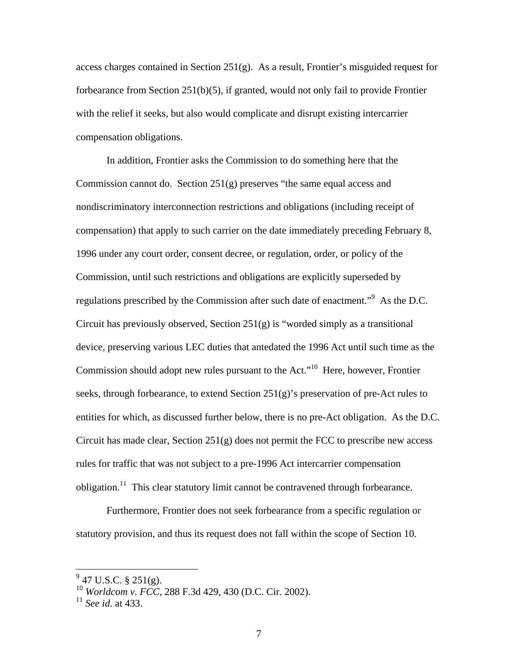access charges contained in Section  $251(g)$ . As a result, Frontier's misguided request for forbearance from Section  $251(b)(5)$ , if granted, would not only fail to provide Frontier with the relief it seeks, but also would complicate and disrupt existing intercarrier compensation obligations.

In addition, Frontier asks the Commission to do something here that the Commission cannot do. Section 251(g) preserves "the same equal access and nondiscriminatory interconnection restrictions and obligations (including receipt of compensation) that apply to such carrier on the date immediately preceding February 8, 1996 under any court order, consent decree, or regulation, order, or policy of the Commission, until such restrictions and obligations are explicitly superseded by regulations prescribed by the Commission after such date of enactment."<sup>9</sup> As the D.C. Circuit has previously observed, Section 251(g) is "worded simply as a transitional device, preserving various LEC duties that antedated the 1996 Act until such time as the Commission should adopt new rules pursuant to the Act."<sup>10</sup> Here, however, Frontier seeks, through forbearance, to extend Section  $251(g)$ 's preservation of pre-Act rules to entities for which, as discussed further below, there is no pre-Act obligation. As the D.C. Circuit has made clear, Section  $251(g)$  does not permit the FCC to prescribe new access rules for traffic that was not subject to a pre-1996 Act intercarrier compensation obligation.11 This clear statutory limit cannot be contravened through forbearance.

Furthermore, Frontier does not seek forbearance from a specific regulation or statutory provision, and thus its request does not fall within the scope of Section 10.

 $\frac{9}{9}$  47 U.S.C. § 251(g).

<sup>10</sup> *Worldcom v. FCC*, 288 F.3d 429, 430 (D.C. Cir. 2002).

<sup>11</sup> *See id*. at 433.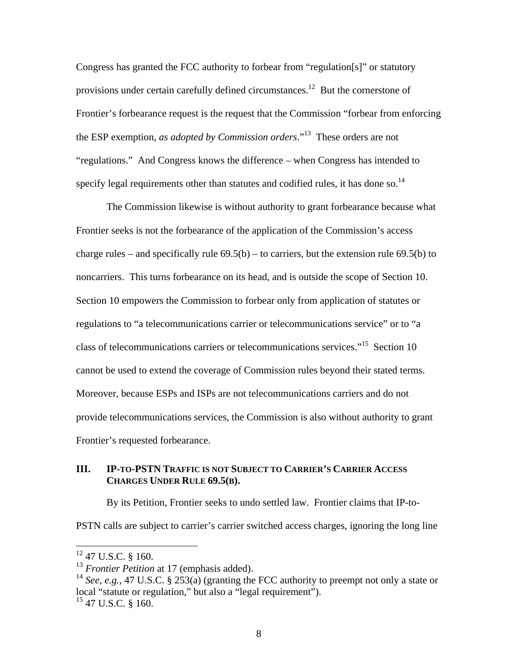Congress has granted the FCC authority to forbear from "regulation[s]" or statutory provisions under certain carefully defined circumstances.12 But the cornerstone of Frontier's forbearance request is the request that the Commission "forbear from enforcing the ESP exemption, *as adopted by Commission orders*."13 These orders are not "regulations." And Congress knows the difference – when Congress has intended to specify legal requirements other than statutes and codified rules, it has done so.<sup>14</sup>

The Commission likewise is without authority to grant forbearance because what Frontier seeks is not the forbearance of the application of the Commission's access charge rules – and specifically rule  $69.5(b)$  – to carriers, but the extension rule  $69.5(b)$  to noncarriers. This turns forbearance on its head, and is outside the scope of Section 10. Section 10 empowers the Commission to forbear only from application of statutes or regulations to "a telecommunications carrier or telecommunications service" or to "a class of telecommunications carriers or telecommunications services."<sup>15</sup> Section 10 cannot be used to extend the coverage of Commission rules beyond their stated terms. Moreover, because ESPs and ISPs are not telecommunications carriers and do not provide telecommunications services, the Commission is also without authority to grant Frontier's requested forbearance.

### **III. IP-TO-PSTN TRAFFIC IS NOT SUBJECT TO CARRIER'S CARRIER ACCESS CHARGES UNDER RULE 69.5(B).**

By its Petition, Frontier seeks to undo settled law. Frontier claims that IP-to-

PSTN calls are subject to carrier's carrier switched access charges, ignoring the long line

 $12$  47 U.S.C. § 160.

<sup>&</sup>lt;sup>13</sup> *Frontier Petition* at 17 (emphasis added).

<sup>&</sup>lt;sup>14</sup> *See, e.g.,* 47 U.S.C. § 253(a) (granting the FCC authority to preempt not only a state or local "statute or regulation," but also a "legal requirement").  $^{15}$  47 U.S.C. § 160.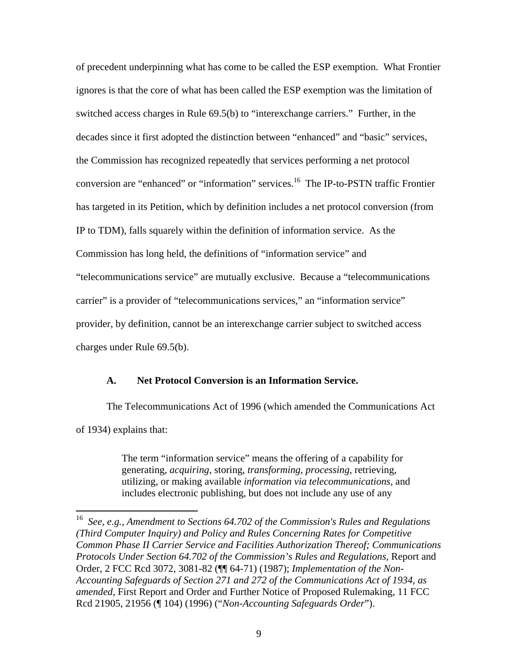of precedent underpinning what has come to be called the ESP exemption. What Frontier ignores is that the core of what has been called the ESP exemption was the limitation of switched access charges in Rule 69.5(b) to "interexchange carriers." Further, in the decades since it first adopted the distinction between "enhanced" and "basic" services, the Commission has recognized repeatedly that services performing a net protocol conversion are "enhanced" or "information" services.<sup>16</sup> The IP-to-PSTN traffic Frontier has targeted in its Petition, which by definition includes a net protocol conversion (from IP to TDM), falls squarely within the definition of information service. As the Commission has long held, the definitions of "information service" and "telecommunications service" are mutually exclusive. Because a "telecommunications carrier" is a provider of "telecommunications services," an "information service" provider, by definition, cannot be an interexchange carrier subject to switched access charges under Rule 69.5(b).

#### **A. Net Protocol Conversion is an Information Service.**

 $\overline{a}$ 

 The Telecommunications Act of 1996 (which amended the Communications Act of 1934) explains that:

> The term "information service" means the offering of a capability for generating, *acquiring*, storing, *transforming, processing*, retrieving, utilizing, or making available *information via telecommunications*, and includes electronic publishing, but does not include any use of any

<sup>16</sup> *See, e.g., Amendment to Sections 64.702 of the Commission's Rules and Regulations (Third Computer Inquiry) and Policy and Rules Concerning Rates for Competitive Common Phase II Carrier Service and Facilities Authorization Thereof; Communications Protocols Under Section 64.702 of the Commission's Rules and Regulations,* Report and Order, 2 FCC Rcd 3072, 3081-82 (¶¶ 64-71) (1987); *Implementation of the Non-Accounting Safeguards of Section 271 and 272 of the Communications Act of 1934, as amended*, First Report and Order and Further Notice of Proposed Rulemaking, 11 FCC Rcd 21905, 21956 (¶ 104) (1996) ("*Non-Accounting Safeguards Order*").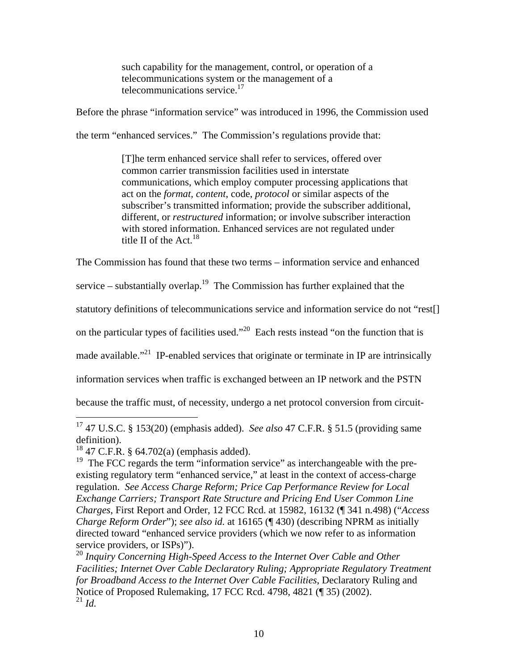such capability for the management, control, or operation of a telecommunications system or the management of a telecommunications service.<sup>17</sup>

Before the phrase "information service" was introduced in 1996, the Commission used

the term "enhanced services." The Commission's regulations provide that:

[T]he term enhanced service shall refer to services, offered over common carrier transmission facilities used in interstate communications, which employ computer processing applications that act on the *format, content*, code, *protocol* or similar aspects of the subscriber's transmitted information; provide the subscriber additional, different, or *restructured* information; or involve subscriber interaction with stored information. Enhanced services are not regulated under title II of the  $Act^{18}$ 

The Commission has found that these two terms – information service and enhanced

service – substantially overlap.<sup>19</sup> The Commission has further explained that the

statutory definitions of telecommunications service and information service do not "rest[]

on the particular types of facilities used."<sup>20</sup> Each rests instead "on the function that is

made available."<sup>21</sup> IP-enabled services that originate or terminate in IP are intrinsically

information services when traffic is exchanged between an IP network and the PSTN

because the traffic must, of necessity, undergo a net protocol conversion from circuit-

<sup>17 47</sup> U.S.C. § 153(20) (emphasis added). *See also* 47 C.F.R. § 51.5 (providing same definition).

 $18$  47 C.F.R. § 64.702(a) (emphasis added).

<sup>&</sup>lt;sup>19</sup> The FCC regards the term "information service" as interchangeable with the preexisting regulatory term "enhanced service," at least in the context of access-charge regulation. *See Access Charge Reform; Price Cap Performance Review for Local Exchange Carriers; Transport Rate Structure and Pricing End User Common Line Charges*, First Report and Order, 12 FCC Rcd. at 15982, 16132 (¶ 341 n.498) ("*Access Charge Reform Order*"); *see also id.* at 16165 (¶ 430) (describing NPRM as initially directed toward "enhanced service providers (which we now refer to as information service providers, or ISPs)").

<sup>20</sup> *Inquiry Concerning High-Speed Access to the Internet Over Cable and Other Facilities; Internet Over Cable Declaratory Ruling; Appropriate Regulatory Treatment for Broadband Access to the Internet Over Cable Facilities*, Declaratory Ruling and Notice of Proposed Rulemaking, 17 FCC Rcd. 4798, 4821 (¶ 35) (2002).  $^{21}$  *Id.*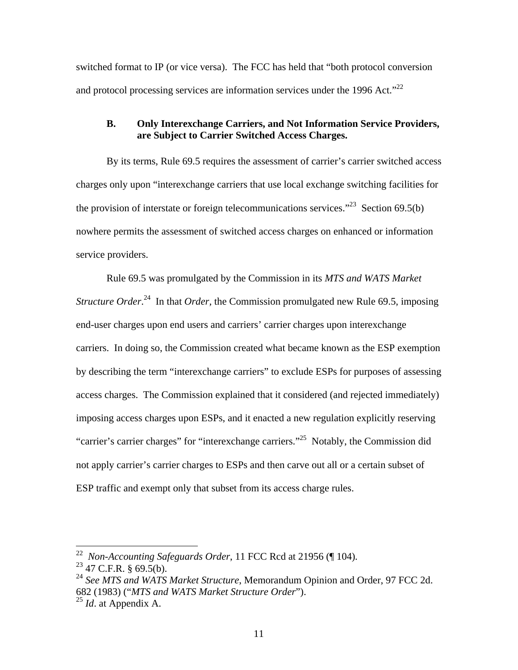switched format to IP (or vice versa). The FCC has held that "both protocol conversion and protocol processing services are information services under the 1996 Act."<sup>22</sup>

### **B. Only Interexchange Carriers, and Not Information Service Providers, are Subject to Carrier Switched Access Charges.**

By its terms, Rule 69.5 requires the assessment of carrier's carrier switched access charges only upon "interexchange carriers that use local exchange switching facilities for the provision of interstate or foreign telecommunications services."<sup>23</sup> Section 69.5(b) nowhere permits the assessment of switched access charges on enhanced or information service providers.

Rule 69.5 was promulgated by the Commission in its *MTS and WATS Market Structure Order*.<sup>24</sup> In that *Order*, the Commission promulgated new Rule 69.5, imposing end-user charges upon end users and carriers' carrier charges upon interexchange carriers. In doing so, the Commission created what became known as the ESP exemption by describing the term "interexchange carriers" to exclude ESPs for purposes of assessing access charges. The Commission explained that it considered (and rejected immediately) imposing access charges upon ESPs, and it enacted a new regulation explicitly reserving "carrier's carrier charges" for "interexchange carriers."<sup>25</sup> Notably, the Commission did not apply carrier's carrier charges to ESPs and then carve out all or a certain subset of ESP traffic and exempt only that subset from its access charge rules.

<sup>22</sup>*Non-Accounting Safeguards Order*, 11 FCC Rcd at 21956 (¶ 104)*.* 23 47 C.F.R. § 69.5(b).

<sup>&</sup>lt;sup>24</sup> See MTS and WATS Market Structure, Memorandum Opinion and Order, 97 FCC 2d. 682 (1983) ("*MTS and WATS Market Structure Order*").

<sup>25</sup> *Id*. at Appendix A.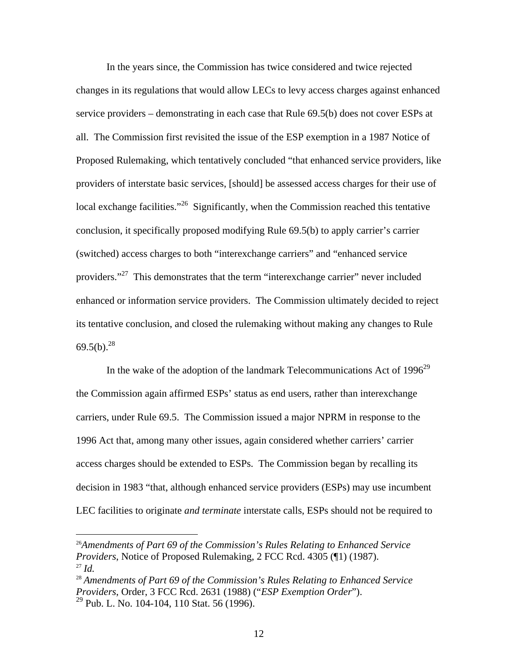In the years since, the Commission has twice considered and twice rejected changes in its regulations that would allow LECs to levy access charges against enhanced service providers – demonstrating in each case that Rule 69.5(b) does not cover ESPs at all. The Commission first revisited the issue of the ESP exemption in a 1987 Notice of Proposed Rulemaking, which tentatively concluded "that enhanced service providers, like providers of interstate basic services, [should] be assessed access charges for their use of local exchange facilities."<sup>26</sup> Significantly, when the Commission reached this tentative conclusion, it specifically proposed modifying Rule 69.5(b) to apply carrier's carrier (switched) access charges to both "interexchange carriers" and "enhanced service providers."27 This demonstrates that the term "interexchange carrier" never included enhanced or information service providers. The Commission ultimately decided to reject its tentative conclusion, and closed the rulemaking without making any changes to Rule  $69.5(b).^{28}$ 

In the wake of the adoption of the landmark Telecommunications Act of  $1996^{29}$ the Commission again affirmed ESPs' status as end users, rather than interexchange carriers, under Rule 69.5. The Commission issued a major NPRM in response to the 1996 Act that, among many other issues, again considered whether carriers' carrier access charges should be extended to ESPs. The Commission began by recalling its decision in 1983 "that, although enhanced service providers (ESPs) may use incumbent LEC facilities to originate *and terminate* interstate calls, ESPs should not be required to

<u>.</u>

<sup>26</sup>*Amendments of Part 69 of the Commission's Rules Relating to Enhanced Service Providers*, Notice of Proposed Rulemaking, 2 FCC Rcd. 4305 (¶1) (1987). <sup>27</sup> *Id.*

<sup>28</sup> *Amendments of Part 69 of the Commission's Rules Relating to Enhanced Service Providers*, Order, 3 FCC Rcd. 2631 (1988) ("*ESP Exemption Order*").  $29$  Pub. L. No. 104-104, 110 Stat. 56 (1996).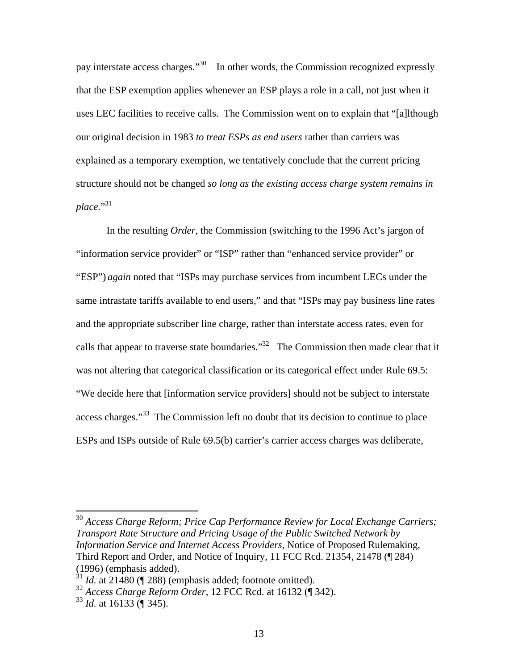pay interstate access charges."30 In other words, the Commission recognized expressly that the ESP exemption applies whenever an ESP plays a role in a call, not just when it uses LEC facilities to receive calls. The Commission went on to explain that "[a]lthough our original decision in 1983 *to treat ESPs as end users* rather than carriers was explained as a temporary exemption, we tentatively conclude that the current pricing structure should not be changed *so long as the existing access charge system remains in*  place."<sup>31</sup>

In the resulting *Order*, the Commission (switching to the 1996 Act's jargon of "information service provider" or "ISP" rather than "enhanced service provider" or "ESP") *again* noted that "ISPs may purchase services from incumbent LECs under the same intrastate tariffs available to end users," and that "ISPs may pay business line rates and the appropriate subscriber line charge, rather than interstate access rates, even for calls that appear to traverse state boundaries."<sup>32</sup> The Commission then made clear that it was not altering that categorical classification or its categorical effect under Rule 69.5: "We decide here that [information service providers] should not be subject to interstate access charges."<sup>33</sup> The Commission left no doubt that its decision to continue to place ESPs and ISPs outside of Rule 69.5(b) carrier's carrier access charges was deliberate,

<sup>&</sup>lt;sup>30</sup> Access Charge Reform; Price Cap Performance Review for Local Exchange Carriers; *Transport Rate Structure and Pricing Usage of the Public Switched Network by Information Service and Internet Access Providers*, Notice of Proposed Rulemaking, Third Report and Order, and Notice of Inquiry, 11 FCC Rcd. 21354, 21478 (¶ 284) (1996) (emphasis added).

 $31$  *Id.* at 21480 ( $\sqrt{288}$ ) (emphasis added; footnote omitted).

<sup>32</sup> *Access Charge Reform Order*, 12 FCC Rcd. at 16132 (¶ 342).

<sup>33</sup> *Id.* at 16133 (¶ 345).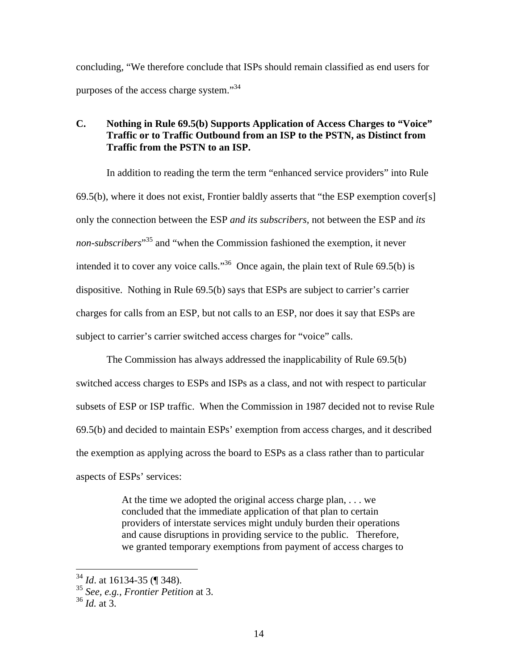concluding, "We therefore conclude that ISPs should remain classified as end users for purposes of the access charge system."34

## **C. Nothing in Rule 69.5(b) Supports Application of Access Charges to "Voice" Traffic or to Traffic Outbound from an ISP to the PSTN, as Distinct from Traffic from the PSTN to an ISP.**

In addition to reading the term the term "enhanced service providers" into Rule  $69.5(b)$ , where it does not exist, Frontier baldly asserts that "the ESP exemption cover[s] only the connection between the ESP *and its subscribers,* not between the ESP and *its non-subscribers*" 35 and "when the Commission fashioned the exemption, it never intended it to cover any voice calls."36 Once again, the plain text of Rule 69.5(b) is dispositive. Nothing in Rule 69.5(b) says that ESPs are subject to carrier's carrier charges for calls from an ESP, but not calls to an ESP, nor does it say that ESPs are subject to carrier's carrier switched access charges for "voice" calls.

The Commission has always addressed the inapplicability of Rule 69.5(b) switched access charges to ESPs and ISPs as a class, and not with respect to particular subsets of ESP or ISP traffic. When the Commission in 1987 decided not to revise Rule 69.5(b) and decided to maintain ESPs' exemption from access charges, and it described the exemption as applying across the board to ESPs as a class rather than to particular aspects of ESPs' services:

> At the time we adopted the original access charge plan, . . . we concluded that the immediate application of that plan to certain providers of interstate services might unduly burden their operations and cause disruptions in providing service to the public. Therefore, we granted temporary exemptions from payment of access charges to

<sup>34</sup> *Id*. at 16134-35 (¶ 348).

<sup>35</sup> *See, e.g., Frontier Petition* at 3.

 $36$  *Id.* at 3.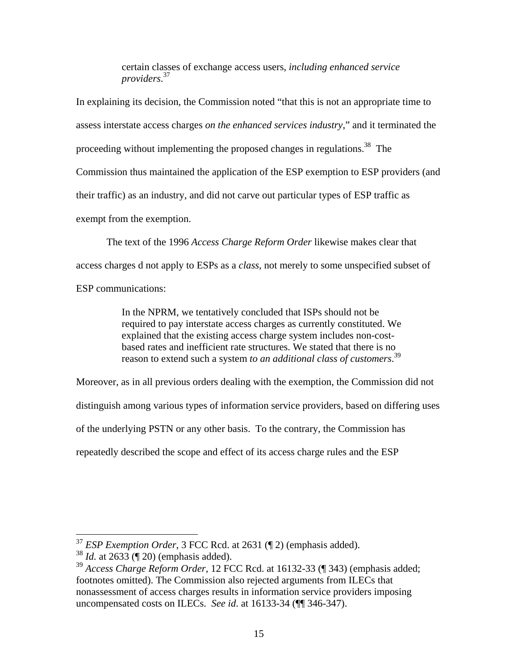certain classes of exchange access users, *including enhanced service providers*. 37

In explaining its decision, the Commission noted "that this is not an appropriate time to assess interstate access charges *on the enhanced services industry*," and it terminated the proceeding without implementing the proposed changes in regulations.38 The Commission thus maintained the application of the ESP exemption to ESP providers (and their traffic) as an industry, and did not carve out particular types of ESP traffic as exempt from the exemption.

The text of the 1996 *Access Charge Reform Order* likewise makes clear that access charges d not apply to ESPs as a *class*, not merely to some unspecified subset of ESP communications:

> In the NPRM, we tentatively concluded that ISPs should not be required to pay interstate access charges as currently constituted. We explained that the existing access charge system includes non-costbased rates and inefficient rate structures. We stated that there is no reason to extend such a system *to an additional class of customers*. 39

Moreover, as in all previous orders dealing with the exemption, the Commission did not distinguish among various types of information service providers, based on differing uses of the underlying PSTN or any other basis. To the contrary, the Commission has repeatedly described the scope and effect of its access charge rules and the ESP

<sup>37</sup> *ESP Exemption Order*, 3 FCC Rcd. at 2631 (¶ 2) (emphasis added).

<sup>38</sup> *Id.* at 2633 (¶ 20) (emphasis added).

<sup>39</sup> *Access Charge Reform Order*, 12 FCC Rcd. at 16132-33 (¶ 343) (emphasis added; footnotes omitted). The Commission also rejected arguments from ILECs that nonassessment of access charges results in information service providers imposing uncompensated costs on ILECs. *See id*. at 16133-34 (¶¶ 346-347).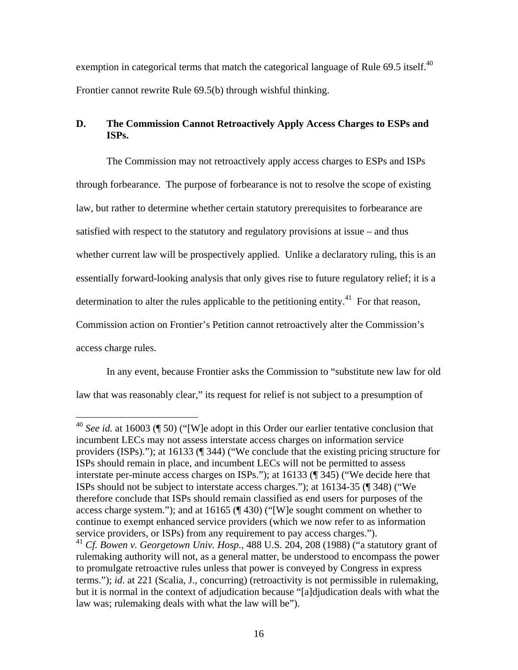exemption in categorical terms that match the categorical language of Rule 69.5 itself.<sup>40</sup> Frontier cannot rewrite Rule 69.5(b) through wishful thinking.

# **D. The Commission Cannot Retroactively Apply Access Charges to ESPs and ISPs.**

The Commission may not retroactively apply access charges to ESPs and ISPs through forbearance. The purpose of forbearance is not to resolve the scope of existing law, but rather to determine whether certain statutory prerequisites to forbearance are satisfied with respect to the statutory and regulatory provisions at issue – and thus whether current law will be prospectively applied. Unlike a declaratory ruling, this is an essentially forward-looking analysis that only gives rise to future regulatory relief; it is a determination to alter the rules applicable to the petitioning entity.<sup>41</sup> For that reason, Commission action on Frontier's Petition cannot retroactively alter the Commission's access charge rules.

In any event, because Frontier asks the Commission to "substitute new law for old law that was reasonably clear," its request for relief is not subject to a presumption of

<sup>&</sup>lt;sup>40</sup> *See id.* at 16003 (¶ 50) ("[W]e adopt in this Order our earlier tentative conclusion that incumbent LECs may not assess interstate access charges on information service providers (ISPs)."); at 16133 (¶ 344) ("We conclude that the existing pricing structure for ISPs should remain in place, and incumbent LECs will not be permitted to assess interstate per-minute access charges on ISPs."); at 16133 (¶ 345) ("We decide here that ISPs should not be subject to interstate access charges."); at 16134-35 (¶ 348) ("We therefore conclude that ISPs should remain classified as end users for purposes of the access charge system."); and at 16165 (¶ 430) ("[W]e sought comment on whether to continue to exempt enhanced service providers (which we now refer to as information service providers, or ISPs) from any requirement to pay access charges.").

<sup>41</sup> *Cf. Bowen v. Georgetown Univ. Hosp.*, 488 U.S. 204, 208 (1988) ("a statutory grant of rulemaking authority will not, as a general matter, be understood to encompass the power to promulgate retroactive rules unless that power is conveyed by Congress in express terms."); *id*. at 221 (Scalia, J., concurring) (retroactivity is not permissible in rulemaking, but it is normal in the context of adjudication because "[a]djudication deals with what the law was; rulemaking deals with what the law will be").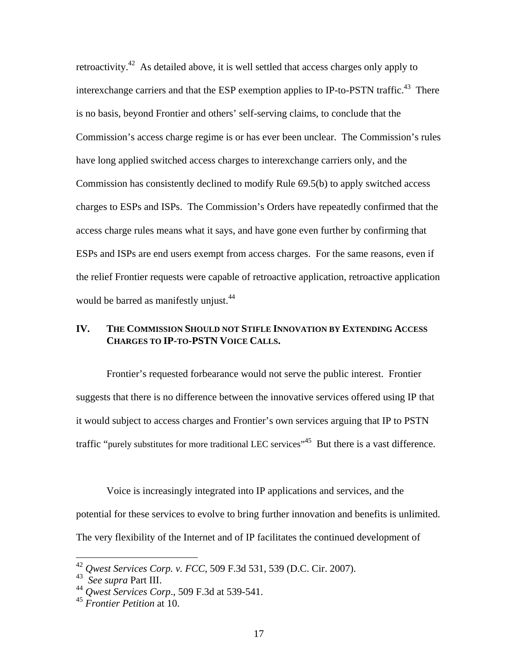retroactivity.42 As detailed above, it is well settled that access charges only apply to interexchange carriers and that the ESP exemption applies to IP-to-PSTN traffic.<sup>43</sup> There is no basis, beyond Frontier and others' self-serving claims, to conclude that the Commission's access charge regime is or has ever been unclear. The Commission's rules have long applied switched access charges to interexchange carriers only, and the Commission has consistently declined to modify Rule 69.5(b) to apply switched access charges to ESPs and ISPs. The Commission's Orders have repeatedly confirmed that the access charge rules means what it says, and have gone even further by confirming that ESPs and ISPs are end users exempt from access charges. For the same reasons, even if the relief Frontier requests were capable of retroactive application, retroactive application would be barred as manifestly unjust.<sup>44</sup>

## **IV. THE COMMISSION SHOULD NOT STIFLE INNOVATION BY EXTENDING ACCESS CHARGES TO IP-TO-PSTN VOICE CALLS.**

 Frontier's requested forbearance would not serve the public interest. Frontier suggests that there is no difference between the innovative services offered using IP that it would subject to access charges and Frontier's own services arguing that IP to PSTN traffic "purely substitutes for more traditional LEC services"<sup>45</sup> But there is a vast difference.

Voice is increasingly integrated into IP applications and services, and the potential for these services to evolve to bring further innovation and benefits is unlimited. The very flexibility of the Internet and of IP facilitates the continued development of

<sup>42</sup> *Qwest Services Corp. v. FCC,* 509 F.3d 531, 539 (D.C. Cir. 2007).

<sup>43</sup> *See supra* Part III.

<sup>44</sup> *Qwest Services Corp*., 509 F.3d at 539-541.

<sup>45</sup> *Frontier Petition* at 10.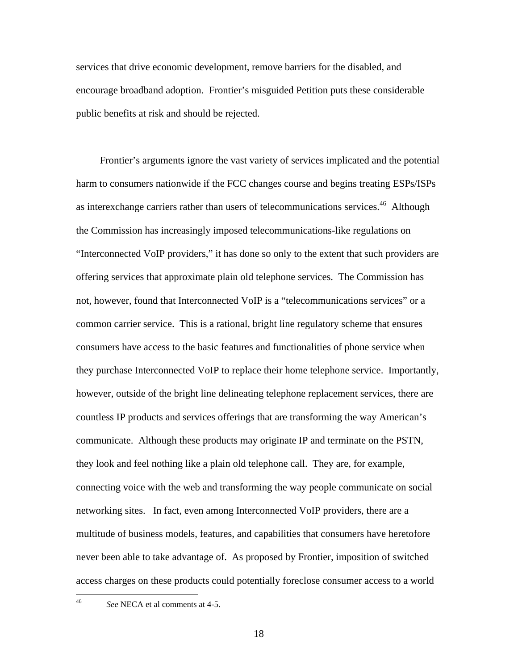services that drive economic development, remove barriers for the disabled, and encourage broadband adoption. Frontier's misguided Petition puts these considerable public benefits at risk and should be rejected.

 Frontier's arguments ignore the vast variety of services implicated and the potential harm to consumers nationwide if the FCC changes course and begins treating ESPs/ISPs as interexchange carriers rather than users of telecommunications services.<sup>46</sup> Although the Commission has increasingly imposed telecommunications-like regulations on "Interconnected VoIP providers," it has done so only to the extent that such providers are offering services that approximate plain old telephone services. The Commission has not, however, found that Interconnected VoIP is a "telecommunications services" or a common carrier service. This is a rational, bright line regulatory scheme that ensures consumers have access to the basic features and functionalities of phone service when they purchase Interconnected VoIP to replace their home telephone service. Importantly, however, outside of the bright line delineating telephone replacement services, there are countless IP products and services offerings that are transforming the way American's communicate. Although these products may originate IP and terminate on the PSTN, they look and feel nothing like a plain old telephone call. They are, for example, connecting voice with the web and transforming the way people communicate on social networking sites. In fact, even among Interconnected VoIP providers, there are a multitude of business models, features, and capabilities that consumers have heretofore never been able to take advantage of. As proposed by Frontier, imposition of switched access charges on these products could potentially foreclose consumer access to a world

 $46\text{ }$ 

See NECA et al comments at 4-5.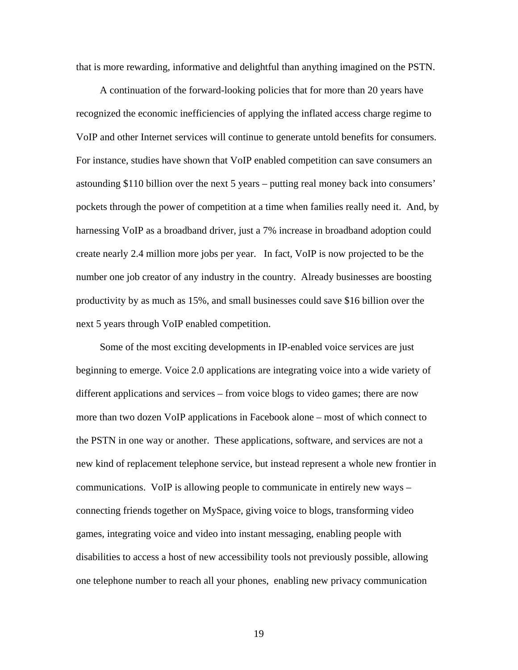that is more rewarding, informative and delightful than anything imagined on the PSTN.

 A continuation of the forward-looking policies that for more than 20 years have recognized the economic inefficiencies of applying the inflated access charge regime to VoIP and other Internet services will continue to generate untold benefits for consumers. For instance, studies have shown that VoIP enabled competition can save consumers an astounding \$110 billion over the next 5 years – putting real money back into consumers' pockets through the power of competition at a time when families really need it. And, by harnessing VoIP as a broadband driver, just a 7% increase in broadband adoption could create nearly 2.4 million more jobs per year. In fact, VoIP is now projected to be the number one job creator of any industry in the country. Already businesses are boosting productivity by as much as 15%, and small businesses could save \$16 billion over the next 5 years through VoIP enabled competition.

 Some of the most exciting developments in IP-enabled voice services are just beginning to emerge. Voice 2.0 applications are integrating voice into a wide variety of different applications and services – from voice blogs to video games; there are now more than two dozen VoIP applications in Facebook alone – most of which connect to the PSTN in one way or another. These applications, software, and services are not a new kind of replacement telephone service, but instead represent a whole new frontier in communications. VoIP is allowing people to communicate in entirely new ways – connecting friends together on MySpace, giving voice to blogs, transforming video games, integrating voice and video into instant messaging, enabling people with disabilities to access a host of new accessibility tools not previously possible, allowing one telephone number to reach all your phones, enabling new privacy communication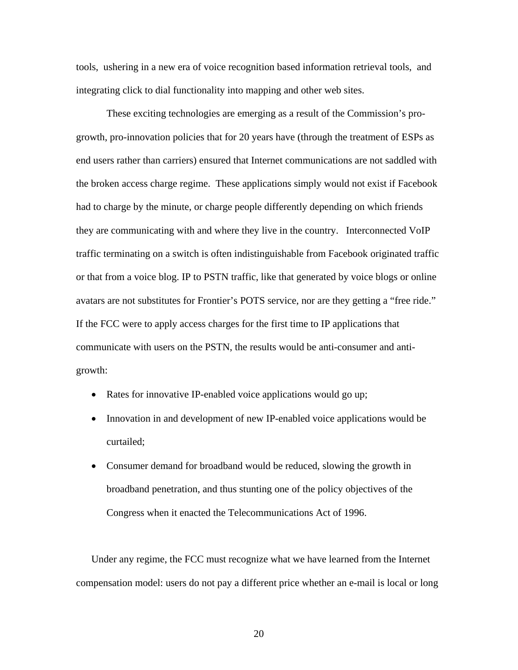tools, ushering in a new era of voice recognition based information retrieval tools, and integrating click to dial functionality into mapping and other web sites.

These exciting technologies are emerging as a result of the Commission's progrowth, pro-innovation policies that for 20 years have (through the treatment of ESPs as end users rather than carriers) ensured that Internet communications are not saddled with the broken access charge regime. These applications simply would not exist if Facebook had to charge by the minute, or charge people differently depending on which friends they are communicating with and where they live in the country. Interconnected VoIP traffic terminating on a switch is often indistinguishable from Facebook originated traffic or that from a voice blog. IP to PSTN traffic, like that generated by voice blogs or online avatars are not substitutes for Frontier's POTS service, nor are they getting a "free ride." If the FCC were to apply access charges for the first time to IP applications that communicate with users on the PSTN, the results would be anti-consumer and antigrowth:

- Rates for innovative IP-enabled voice applications would go up;
- Innovation in and development of new IP-enabled voice applications would be curtailed;
- Consumer demand for broadband would be reduced, slowing the growth in broadband penetration, and thus stunting one of the policy objectives of the Congress when it enacted the Telecommunications Act of 1996.

Under any regime, the FCC must recognize what we have learned from the Internet compensation model: users do not pay a different price whether an e-mail is local or long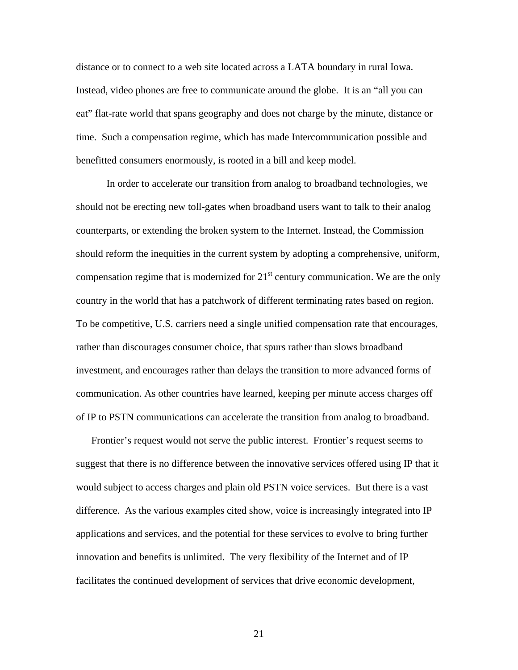distance or to connect to a web site located across a LATA boundary in rural Iowa. Instead, video phones are free to communicate around the globe. It is an "all you can eat" flat-rate world that spans geography and does not charge by the minute, distance or time. Such a compensation regime, which has made Intercommunication possible and benefitted consumers enormously, is rooted in a bill and keep model.

In order to accelerate our transition from analog to broadband technologies, we should not be erecting new toll-gates when broadband users want to talk to their analog counterparts, or extending the broken system to the Internet. Instead, the Commission should reform the inequities in the current system by adopting a comprehensive, uniform, compensation regime that is modernized for  $21<sup>st</sup>$  century communication. We are the only country in the world that has a patchwork of different terminating rates based on region. To be competitive, U.S. carriers need a single unified compensation rate that encourages, rather than discourages consumer choice, that spurs rather than slows broadband investment, and encourages rather than delays the transition to more advanced forms of communication. As other countries have learned, keeping per minute access charges off of IP to PSTN communications can accelerate the transition from analog to broadband.

Frontier's request would not serve the public interest. Frontier's request seems to suggest that there is no difference between the innovative services offered using IP that it would subject to access charges and plain old PSTN voice services. But there is a vast difference. As the various examples cited show, voice is increasingly integrated into IP applications and services, and the potential for these services to evolve to bring further innovation and benefits is unlimited. The very flexibility of the Internet and of IP facilitates the continued development of services that drive economic development,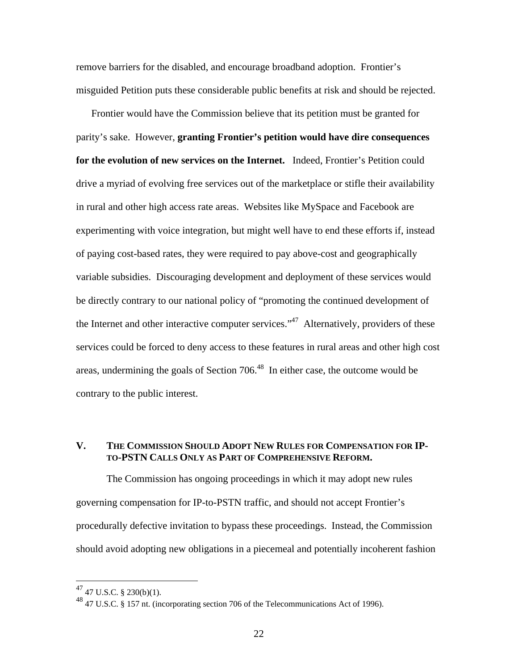remove barriers for the disabled, and encourage broadband adoption. Frontier's misguided Petition puts these considerable public benefits at risk and should be rejected.

Frontier would have the Commission believe that its petition must be granted for parity's sake. However, **granting Frontier's petition would have dire consequences for the evolution of new services on the Internet.** Indeed, Frontier's Petition could drive a myriad of evolving free services out of the marketplace or stifle their availability in rural and other high access rate areas. Websites like MySpace and Facebook are experimenting with voice integration, but might well have to end these efforts if, instead of paying cost-based rates, they were required to pay above-cost and geographically variable subsidies. Discouraging development and deployment of these services would be directly contrary to our national policy of "promoting the continued development of the Internet and other interactive computer services."<sup>47</sup> Alternatively, providers of these services could be forced to deny access to these features in rural areas and other high cost areas, undermining the goals of Section 706.48 In either case, the outcome would be contrary to the public interest.

#### **V. THE COMMISSION SHOULD ADOPT NEW RULES FOR COMPENSATION FOR IP-TO-PSTN CALLS ONLY AS PART OF COMPREHENSIVE REFORM.**

The Commission has ongoing proceedings in which it may adopt new rules governing compensation for IP-to-PSTN traffic, and should not accept Frontier's procedurally defective invitation to bypass these proceedings. Instead, the Commission should avoid adopting new obligations in a piecemeal and potentially incoherent fashion

 $^{47}$  47 U.S.C. § 230(b)(1).

<sup>48 47</sup> U.S.C. § 157 nt. (incorporating section 706 of the Telecommunications Act of 1996).